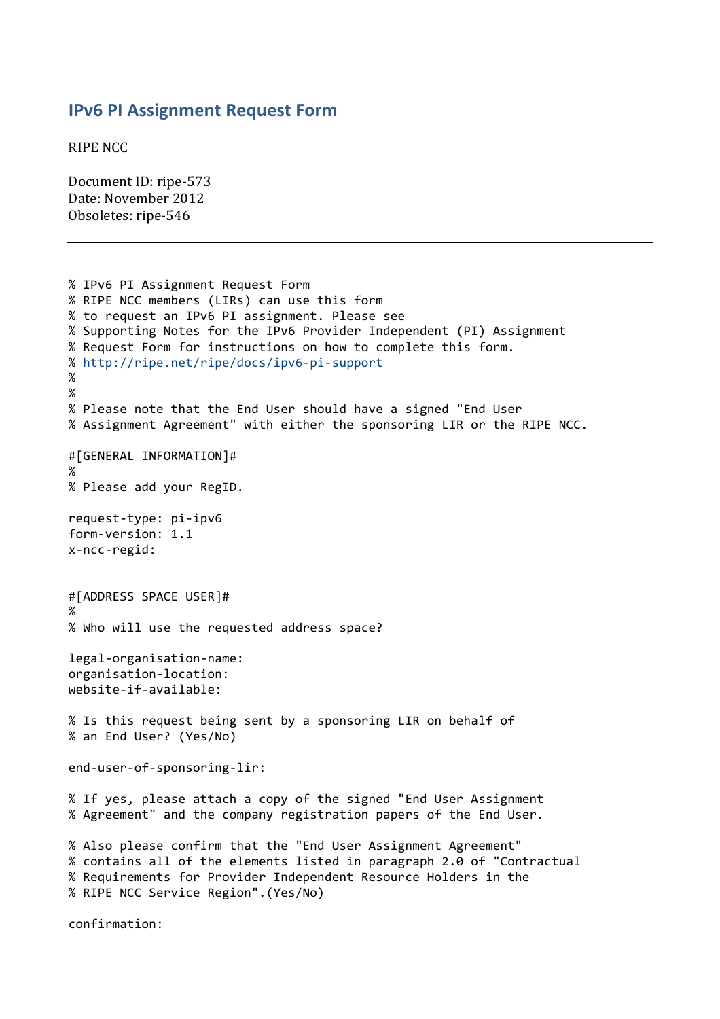## **IPv6 PI Assignment Request Form**

**RIPE NCC** 

Document ID: ripe-573 Date: November 2012 Obsoletes: ripe-546

```
% IPv6 PI Assignment Request Form
% RIPE NCC members (LIRs) can use this form
% to request an IPv6 PI assignment. Please see
%"Supporting"Notes"for"the"IPv6"Provider"Independent"(PI)"Assignment
% Request Form for instructions on how to complete this form.
% http://ripe.net/ripe/docs/ipv6-pi-support
%"
%
% Please note that the End User should have a signed "End User
% Assignment Agreement" with either the sponsoring LIR or the RIPE NCC.
#[GENERAL"INFORMATION]#
%
% Please add your RegID.
request-type: pi-ipv6
form-version: 1.1
x-ncc-regid:
#[ADDRESS SPACE USER]#
%
% Who will use the requested address space?
legal-organisation-name:
organisation-location:
website-if-available:
% Is this request being sent by a sponsoring LIR on behalf of
% an End User? (Yes/No)
end-user-of-sponsoring-lir:
% If yes, please attach a copy of the signed "End User Assignment
% Agreement" and the company registration papers of the End User.
% Also please confirm that the "End User Assignment Agreement"
% contains all of the elements listed in paragraph 2.0 of "Contractual
% Requirements for Provider Independent Resource Holders in the
% RIPE NCC Service Region".(Yes/No)
```
confirmation: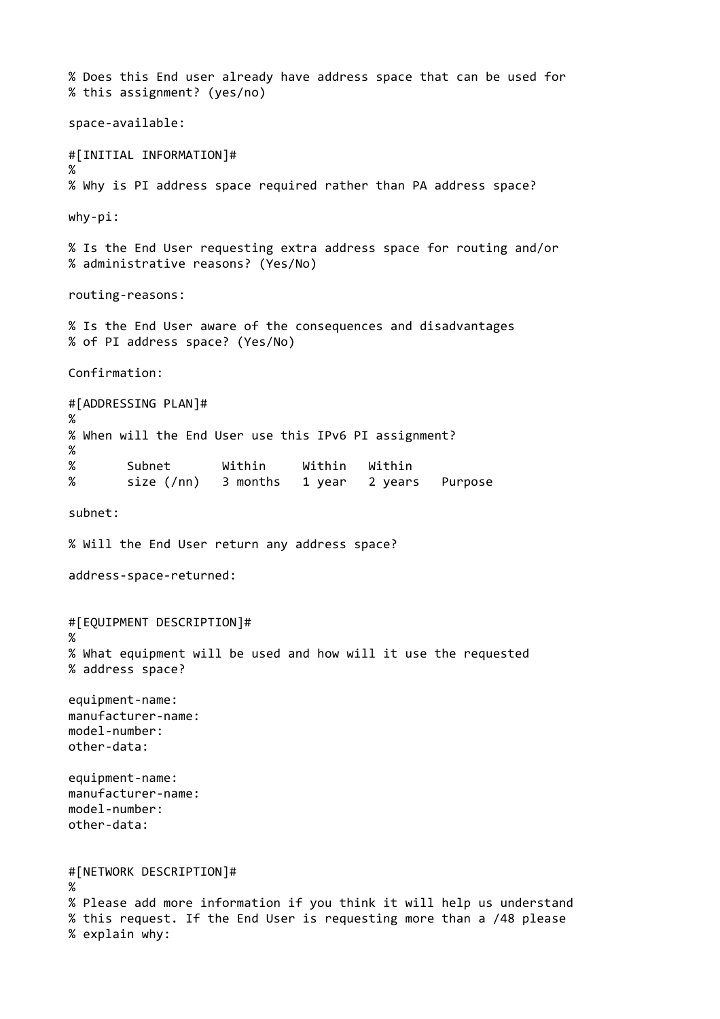```
% Does this End user already have address space that can be used for
% this assignment? (yes/no)
space-available:
#[INITIAL INFORMATION]#
%
% Why is PI address space required rather than PA address space?
why-pi:
% Is the End User requesting extra address space for routing and/or
% administrative reasons? (Yes/No)
routing-reasons:
% Is the End User aware of the consequences and disadvantages
% of PI address space? (Yes/No)
Confirmation:
#[ADDRESSING PLAN]#
%
% When will the End User use this IPv6 PI assignment?
%"
% Subnet Within Within Within
% size (/nn) 3 months 1 year 2 years Purpose
subnet:
% Will the End User return any address space?
address-space-returned:
#[EQUIPMENT DESCRIPTION]#
%
% What equipment will be used and how will it use the requested
% address space?
equipment-name:
manufacturer-name:
model-number:
other-data:
equipment-name:
manufacturer-name:
model-number:
other-data:
#[NETWORK"DESCRIPTION]#
%
% Please add more information if you think it will help us understand
% this request. If the End User is requesting more than a /48 please
% explain why:
```